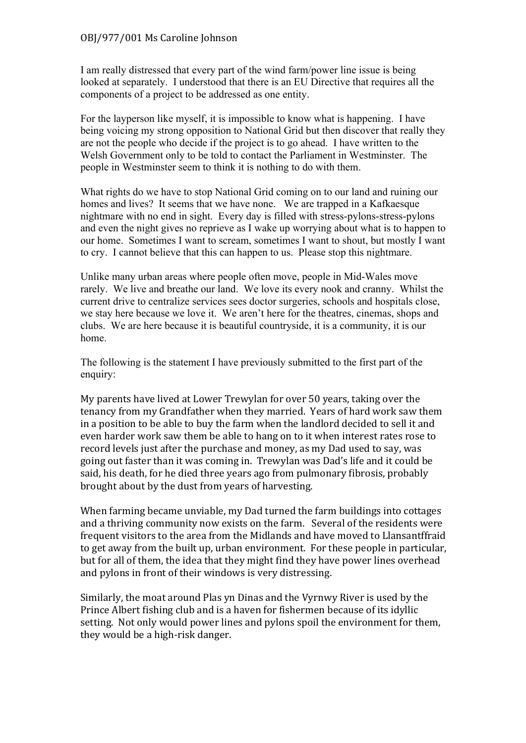I am really distressed that every part of the wind farm/power line issue is being looked at separately. I understood that there is an EU Directive that requires all the components of a project to be addressed as one entity.

For the layperson like myself, it is impossible to know what is happening. I have being voicing my strong opposition to National Grid but then discover that really they are not the people who decide if the project is to go ahead. I have written to the Welsh Government only to be told to contact the Parliament in Westminster. The people in Westminster seem to think it is nothing to do with them.

What rights do we have to stop National Grid coming on to our land and ruining our homes and lives? It seems that we have none. We are trapped in a Kafkaesque nightmare with no end in sight. Every day is filled with stress-pylons-stress-pylons and even the night gives no reprieve as I wake up worrying about what is to happen to our home. Sometimes I want to scream, sometimes I want to shout, but mostly I want to cry. I cannot believe that this can happen to us. Please stop this nightmare.

Unlike many urban areas where people often move, people in Mid-Wales move rarely. We live and breathe our land. We love its every nook and cranny. Whilst the current drive to centralize services sees doctor surgeries, schools and hospitals close, we stay here because we love it. We aren't here for the theatres, cinemas, shops and clubs. We are here because it is beautiful countryside, it is a community, it is our home.

The following is the statement I have previously submitted to the first part of the enquiry:

My parents have lived at Lower Trewylan for over 50 years, taking over the tenancy from my Grandfather when they married. Years of hard work saw them in a position to be able to buy the farm when the landlord decided to sell it and even harder work saw them be able to hang on to it when interest rates rose to record levels just after the purchase and money, as my Dad used to say, was going out faster than it was coming in. Trewylan was Dad's life and it could be said, his death, for he died three years ago from pulmonary fibrosis, probably brought about by the dust from years of harvesting.

When farming became unviable, my Dad turned the farm buildings into cottages and a thriving community now exists on the farm. Several of the residents were frequent visitors to the area from the Midlands and have moved to Llansantffraid to get away from the built up, urban environment. For these people in particular, but for all of them, the idea that they might find they have power lines overhead and pylons in front of their windows is very distressing.

Similarly, the moat around Plas yn Dinas and the Vyrnwy River is used by the Prince Albert fishing club and is a haven for fishermen because of its idyllic setting. Not only would power lines and pylons spoil the environment for them, they would be a high-risk danger.